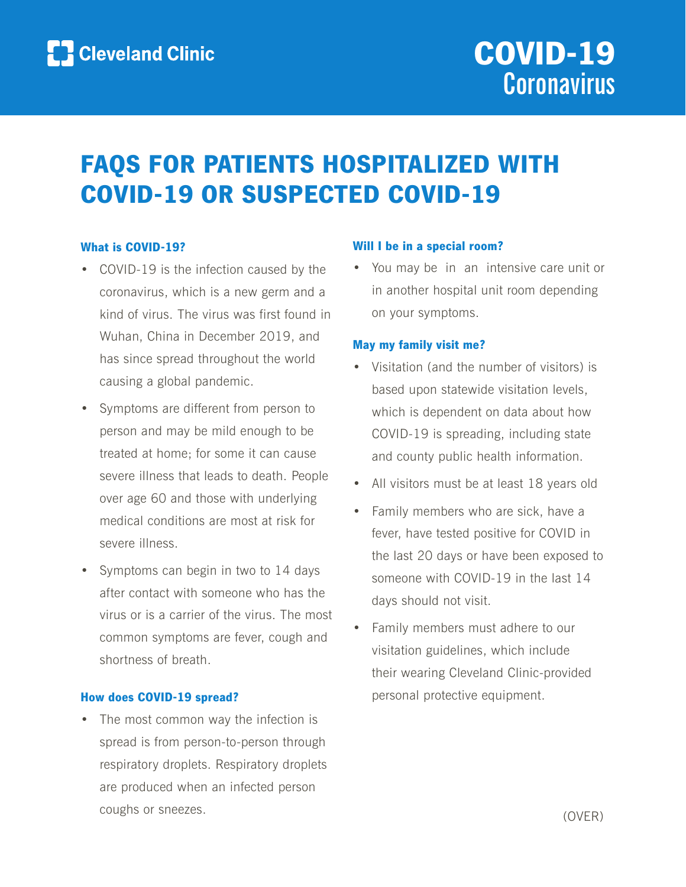# FAQS FOR PATIENTS HOSPITALIZED WITH COVID-19 OR SUSPECTED COVID-19

#### What is COVID-19?

- COVID-19 is the infection caused by the coronavirus, which is a new germ and a kind of virus. The virus was first found in Wuhan, China in December 2019, and has since spread throughout the world causing a global pandemic.
- Symptoms are different from person to person and may be mild enough to be treated at home; for some it can cause severe illness that leads to death. People over age 60 and those with underlying medical conditions are most at risk for severe illness.
- Symptoms can begin in two to 14 days after contact with someone who has the virus or is a carrier of the virus. The most common symptoms are fever, cough and shortness of breath.

#### How does COVID-19 spread?

• The most common way the infection is spread is from person-to-person through respiratory droplets. Respiratory droplets are produced when an infected person coughs or sneezes.

#### Will I be in a special room?

• You may be in an intensive care unit or in another hospital unit room depending on your symptoms.

#### May my family visit me?

- Visitation (and the number of visitors) is based upon statewide visitation levels, which is dependent on data about how COVID-19 is spreading, including state and county public health information.
- All visitors must be at least 18 years old
- Family members who are sick, have a fever, have tested positive for COVID in the last 20 days or have been exposed to someone with COVID-19 in the last 14 days should not visit.
- Family members must adhere to our visitation guidelines, which include their wearing Cleveland Clinic-provided personal protective equipment.